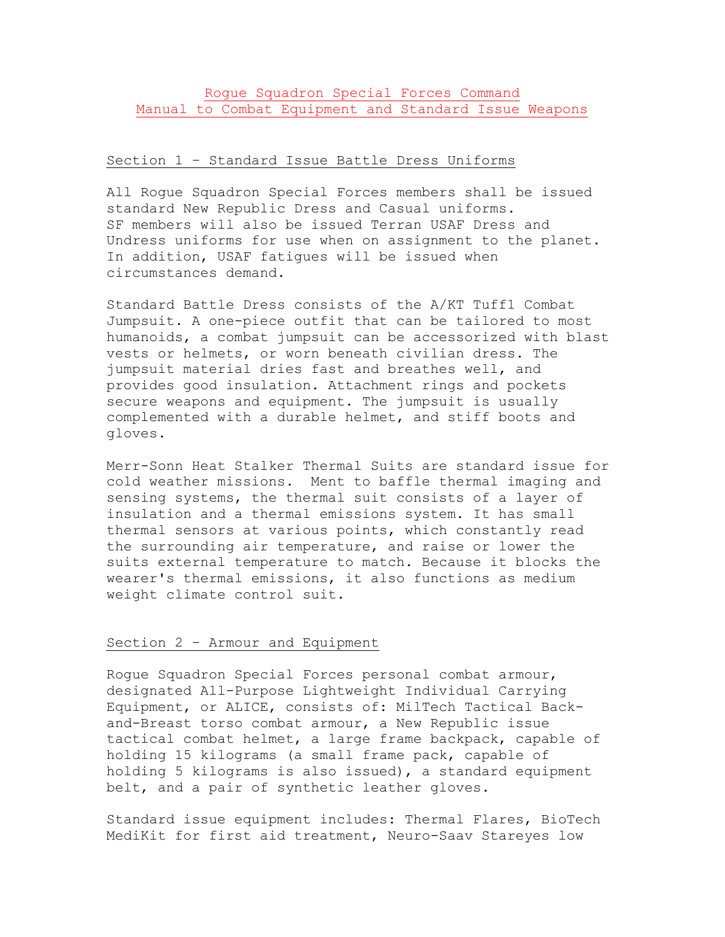# Rogue Squadron Special Forces Command Manual to Combat Equipment and Standard Issue Weapons

# Section 1 – Standard Issue Battle Dress Uniforms

All Rogue Squadron Special Forces members shall be issued standard New Republic Dress and Casual uniforms. SF members will also be issued Terran USAF Dress and Undress uniforms for use when on assignment to the planet. In addition, USAF fatigues will be issued when circumstances demand.

Standard Battle Dress consists of the A/KT Tuff1 Combat Jumpsuit. A one-piece outfit that can be tailored to most humanoids, a combat jumpsuit can be accessorized with blast vests or helmets, or worn beneath civilian dress. The jumpsuit material dries fast and breathes well, and provides good insulation. Attachment rings and pockets secure weapons and equipment. The jumpsuit is usually complemented with a durable helmet, and stiff boots and gloves.

Merr-Sonn Heat Stalker Thermal Suits are standard issue for cold weather missions. Ment to baffle thermal imaging and sensing systems, the thermal suit consists of a layer of insulation and a thermal emissions system. It has small thermal sensors at various points, which constantly read the surrounding air temperature, and raise or lower the suits external temperature to match. Because it blocks the wearer's thermal emissions, it also functions as medium weight climate control suit.

## Section 2 – Armour and Equipment

Rogue Squadron Special Forces personal combat armour, designated All-Purpose Lightweight Individual Carrying Equipment, or ALICE, consists of: MilTech Tactical Backand-Breast torso combat armour, a New Republic issue tactical combat helmet, a large frame backpack, capable of holding 15 kilograms (a small frame pack, capable of holding 5 kilograms is also issued), a standard equipment belt, and a pair of synthetic leather gloves.

Standard issue equipment includes: Thermal Flares, BioTech MediKit for first aid treatment, Neuro-Saav Stareyes low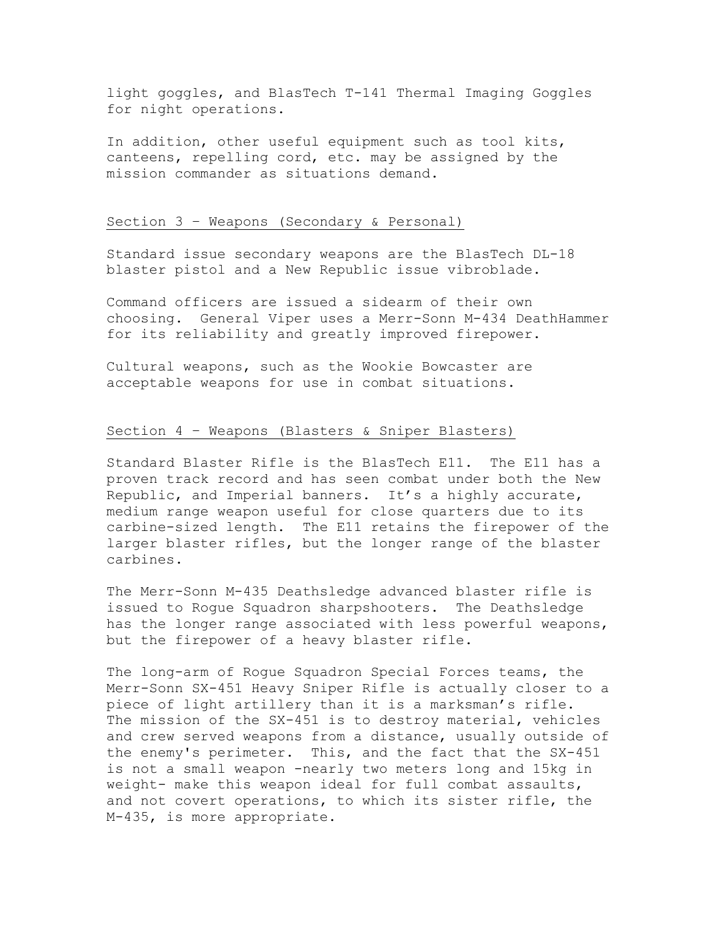light goggles, and BlasTech T-141 Thermal Imaging Goggles for night operations.

In addition, other useful equipment such as tool kits, canteens, repelling cord, etc. may be assigned by the mission commander as situations demand.

## Section 3 – Weapons (Secondary & Personal)

Standard issue secondary weapons are the BlasTech DL-18 blaster pistol and a New Republic issue vibroblade.

Command officers are issued a sidearm of their own choosing. General Viper uses a Merr-Sonn M-434 DeathHammer for its reliability and greatly improved firepower.

Cultural weapons, such as the Wookie Bowcaster are acceptable weapons for use in combat situations.

## Section 4 – Weapons (Blasters & Sniper Blasters)

Standard Blaster Rifle is the BlasTech E11. The E11 has a proven track record and has seen combat under both the New Republic, and Imperial banners. It's a highly accurate, medium range weapon useful for close quarters due to its carbine-sized length. The E11 retains the firepower of the larger blaster rifles, but the longer range of the blaster carbines.

The Merr-Sonn M-435 Deathsledge advanced blaster rifle is issued to Rogue Squadron sharpshooters. The Deathsledge has the longer range associated with less powerful weapons, but the firepower of a heavy blaster rifle.

The long-arm of Rogue Squadron Special Forces teams, the Merr-Sonn SX-451 Heavy Sniper Rifle is actually closer to a piece of light artillery than it is a marksman's rifle. The mission of the SX-451 is to destroy material, vehicles and crew served weapons from a distance, usually outside of the enemy's perimeter. This, and the fact that the SX-451 is not a small weapon -nearly two meters long and 15kg in weight- make this weapon ideal for full combat assaults, and not covert operations, to which its sister rifle, the M-435, is more appropriate.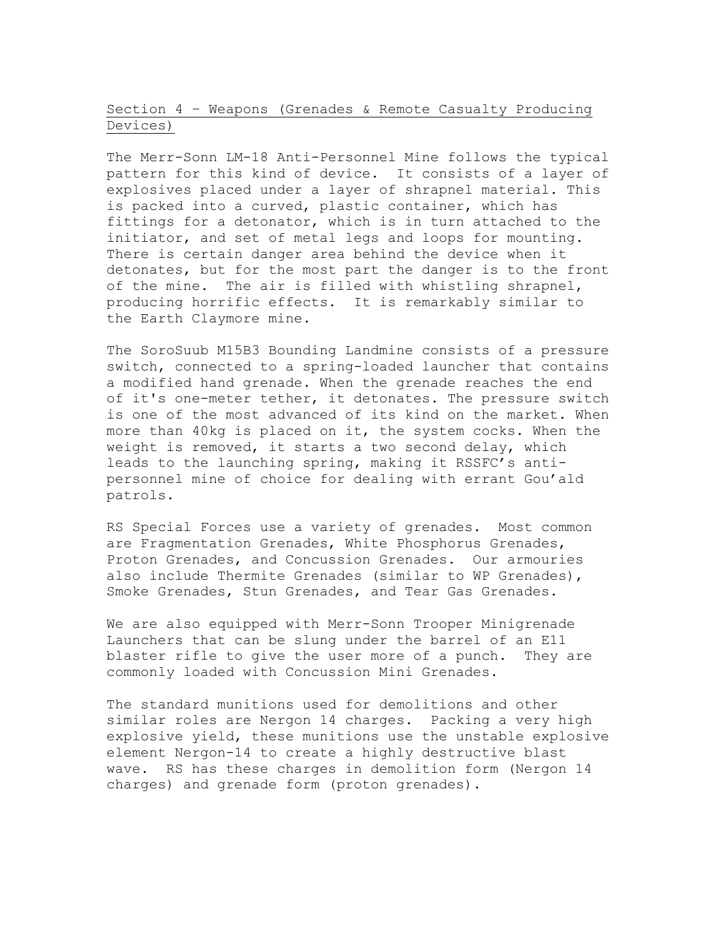Section 4 – Weapons (Grenades & Remote Casualty Producing Devices)

The Merr-Sonn LM-18 Anti-Personnel Mine follows the typical pattern for this kind of device. It consists of a layer of explosives placed under a layer of shrapnel material. This is packed into a curved, plastic container, which has fittings for a detonator, which is in turn attached to the initiator, and set of metal legs and loops for mounting. There is certain danger area behind the device when it detonates, but for the most part the danger is to the front of the mine. The air is filled with whistling shrapnel, producing horrific effects. It is remarkably similar to the Earth Claymore mine.

The SoroSuub M15B3 Bounding Landmine consists of a pressure switch, connected to a spring-loaded launcher that contains a modified hand grenade. When the grenade reaches the end of it's one-meter tether, it detonates. The pressure switch is one of the most advanced of its kind on the market. When more than 40kg is placed on it, the system cocks. When the weight is removed, it starts a two second delay, which leads to the launching spring, making it RSSFC's antipersonnel mine of choice for dealing with errant Gou'ald patrols.

RS Special Forces use a variety of grenades. Most common are Fragmentation Grenades, White Phosphorus Grenades, Proton Grenades, and Concussion Grenades. Our armouries also include Thermite Grenades (similar to WP Grenades), Smoke Grenades, Stun Grenades, and Tear Gas Grenades.

We are also equipped with Merr-Sonn Trooper Minigrenade Launchers that can be slung under the barrel of an E11 blaster rifle to give the user more of a punch. They are commonly loaded with Concussion Mini Grenades.

The standard munitions used for demolitions and other similar roles are Nergon 14 charges. Packing a very high explosive yield, these munitions use the unstable explosive element Nergon-14 to create a highly destructive blast wave. RS has these charges in demolition form (Nergon 14 charges) and grenade form (proton grenades).